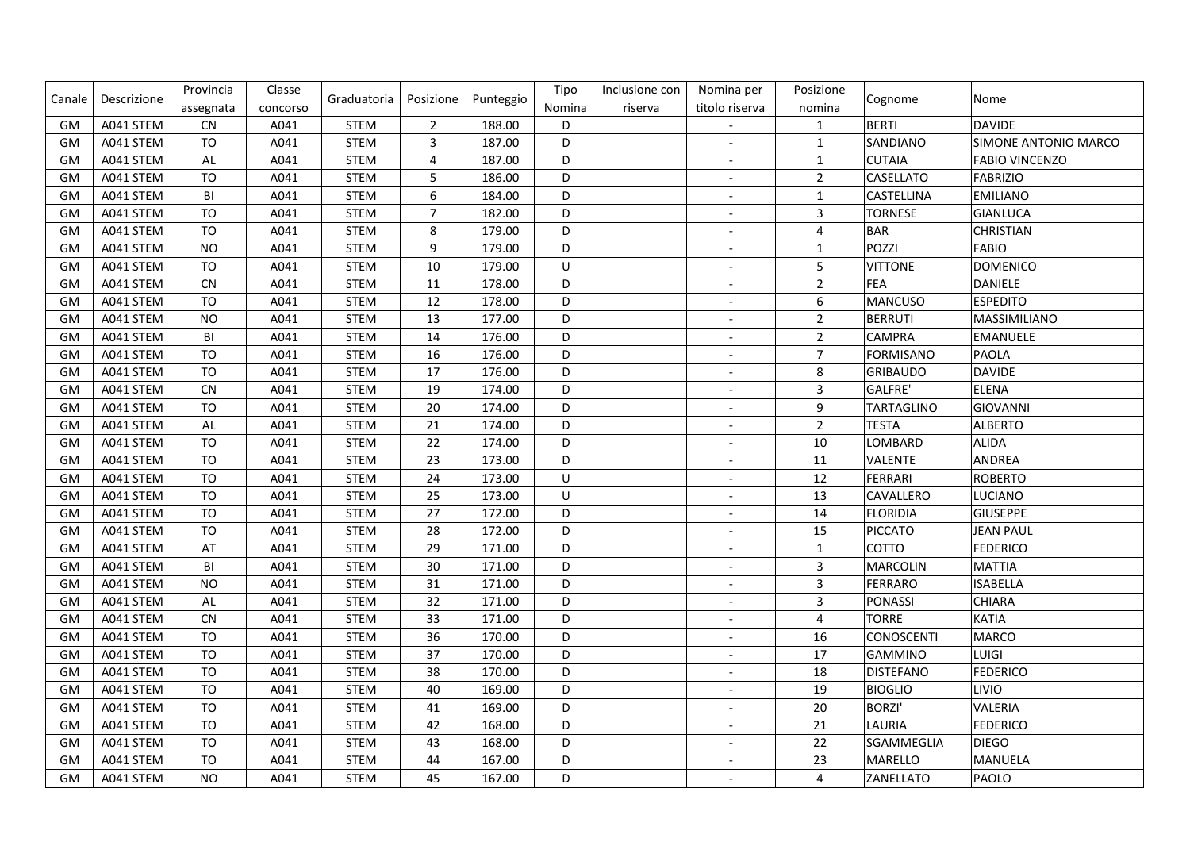| Canale    | Descrizione | Provincia      | Classe   | Graduatoria | Posizione        | Punteggio | Tipo    | Inclusione con | Nomina per               | Posizione               | Cognome          | Nome                  |
|-----------|-------------|----------------|----------|-------------|------------------|-----------|---------|----------------|--------------------------|-------------------------|------------------|-----------------------|
|           |             | assegnata      | concorso |             |                  |           | Nomina  | riserva        | titolo riserva           | nomina                  |                  |                       |
| GM        | A041 STEM   | <b>CN</b>      | A041     | <b>STEM</b> | $\overline{2}$   | 188.00    | D       |                | $\overline{\phantom{a}}$ | $\mathbf{1}$            | <b>BERTI</b>     | <b>DAVIDE</b>         |
| GM        | A041 STEM   | <b>TO</b>      | A041     | <b>STEM</b> | $\mathsf{3}$     | 187.00    | D       |                | $\blacksquare$           | $\mathbf{1}$            | SANDIANO         | SIMONE ANTONIO MARCO  |
| GM        | A041 STEM   | $\mathsf{AL}$  | A041     | <b>STEM</b> | 4                | 187.00    | D       |                | $\overline{\phantom{a}}$ | $\mathbf{1}$            | <b>CUTAIA</b>    | <b>FABIO VINCENZO</b> |
| GM        | A041 STEM   | T <sub>O</sub> | A041     | <b>STEM</b> | 5                | 186.00    | D       |                | $\overline{a}$           | $\overline{2}$          | CASELLATO        | <b>FABRIZIO</b>       |
| GM        | A041 STEM   | BI             | A041     | <b>STEM</b> | $\boldsymbol{6}$ | 184.00    | D       |                | $\overline{a}$           | $\mathbf{1}$            | CASTELLINA       | <b>EMILIANO</b>       |
| GM        | A041 STEM   | T <sub>O</sub> | A041     | <b>STEM</b> | $\overline{7}$   | 182.00    | D       |                | $\overline{\phantom{a}}$ | $\mathsf{3}$            | <b>TORNESE</b>   | <b>GIANLUCA</b>       |
| <b>GM</b> | A041 STEM   | <b>TO</b>      | A041     | <b>STEM</b> | $\,8\,$          | 179.00    | D       |                |                          | $\overline{\mathbf{4}}$ | BAR              | <b>CHRISTIAN</b>      |
| <b>GM</b> | A041 STEM   | <b>NO</b>      | A041     | <b>STEM</b> | $9\,$            | 179.00    | D       |                |                          | $\mathbf{1}$            | POZZI            | <b>FABIO</b>          |
| GM        | A041 STEM   | TO             | A041     | <b>STEM</b> | 10               | 179.00    | $\cup$  |                | $\overline{\phantom{a}}$ | 5                       | <b>VITTONE</b>   | <b>DOMENICO</b>       |
| <b>GM</b> | A041 STEM   | <b>CN</b>      | A041     | <b>STEM</b> | 11               | 178.00    | D       |                | $\overline{a}$           | $\overline{2}$          | <b>FEA</b>       | DANIELE               |
| GM        | A041 STEM   | T <sub>O</sub> | A041     | <b>STEM</b> | 12               | 178.00    | D       |                | $\overline{\phantom{a}}$ | $\boldsymbol{6}$        | MANCUSO          | <b>ESPEDITO</b>       |
| <b>GM</b> | A041 STEM   | <b>NO</b>      | A041     | <b>STEM</b> | 13               | 177.00    | D       |                | $\overline{a}$           | $\overline{2}$          | <b>BERRUTI</b>   | MASSIMILIANO          |
| GM        | A041 STEM   | BI             | A041     | <b>STEM</b> | 14               | 176.00    | D       |                | $\overline{\phantom{a}}$ | $\overline{2}$          | <b>CAMPRA</b>    | <b>EMANUELE</b>       |
| GM        | A041 STEM   | TO             | A041     | <b>STEM</b> | 16               | 176.00    | D       |                | $\overline{\phantom{a}}$ | $\overline{7}$          | <b>FORMISANO</b> | <b>PAOLA</b>          |
| <b>GM</b> | A041 STEM   | T <sub>O</sub> | A041     | <b>STEM</b> | 17               | 176.00    | D       |                |                          | $\bf 8$                 | GRIBAUDO         | <b>DAVIDE</b>         |
| GM        | A041 STEM   | <b>CN</b>      | A041     | <b>STEM</b> | 19               | 174.00    | D       |                | $\overline{\phantom{a}}$ | $\overline{3}$          | GALFRE'          | <b>ELENA</b>          |
| GM        | A041 STEM   | <b>TO</b>      | A041     | <b>STEM</b> | 20               | 174.00    | D       |                | $\overline{\phantom{a}}$ | 9                       | TARTAGLINO       | GIOVANNI              |
| GM        | A041 STEM   | AL             | A041     | <b>STEM</b> | 21               | 174.00    | D       |                | $\overline{\phantom{a}}$ | $\overline{2}$          | <b>TESTA</b>     | <b>ALBERTO</b>        |
| <b>GM</b> | A041 STEM   | TO             | A041     | <b>STEM</b> | 22               | 174.00    | D       |                | $\overline{a}$           | 10                      | LOMBARD          | <b>ALIDA</b>          |
| GM        | A041 STEM   | TO             | A041     | <b>STEM</b> | 23               | 173.00    | D       |                | $\overline{\phantom{a}}$ | 11                      | VALENTE          | <b>ANDREA</b>         |
| GM        | A041 STEM   | TO             | A041     | <b>STEM</b> | 24               | 173.00    | $\sf U$ |                | $\overline{\phantom{a}}$ | 12                      | FERRARI          | <b>ROBERTO</b>        |
| <b>GM</b> | A041 STEM   | TO             | A041     | <b>STEM</b> | 25               | 173.00    | U       |                |                          | 13                      | CAVALLERO        | <b>LUCIANO</b>        |
| <b>GM</b> | A041 STEM   | T <sub>O</sub> | A041     | <b>STEM</b> | 27               | 172.00    | D       |                | $\overline{a}$           | 14                      | FLORIDIA         | GIUSEPPE              |
| GM        | A041 STEM   | TO             | A041     | <b>STEM</b> | 28               | 172.00    | D       |                | $\overline{\phantom{a}}$ | 15                      | PICCATO          | JEAN PAUL             |
| <b>GM</b> | A041 STEM   | AT             | A041     | <b>STEM</b> | 29               | 171.00    | D       |                | $\overline{\phantom{a}}$ | $\mathbf{1}$            | COTTO            | <b>FEDERICO</b>       |
| GM        | A041 STEM   | BI             | A041     | <b>STEM</b> | 30               | 171.00    | D       |                | $\overline{\phantom{m}}$ | $\overline{3}$          | MARCOLIN         | <b>MATTIA</b>         |
| <b>GM</b> | A041 STEM   | <b>NO</b>      | A041     | <b>STEM</b> | 31               | 171.00    | D       |                | $\overline{a}$           | $\mathbf{3}$            | <b>FERRARO</b>   | <b>ISABELLA</b>       |
| GM        | A041 STEM   | AL             | A041     | <b>STEM</b> | 32               | 171.00    | D       |                | $\overline{a}$           | $\overline{3}$          | PONASSI          | <b>CHIARA</b>         |
| <b>GM</b> | A041 STEM   | <b>CN</b>      | A041     | <b>STEM</b> | 33               | 171.00    | D       |                | $\overline{a}$           | $\overline{4}$          | <b>TORRE</b>     | <b>KATIA</b>          |
| GM        | A041 STEM   | T <sub>O</sub> | A041     | <b>STEM</b> | 36               | 170.00    | D       |                |                          | 16                      | CONOSCENTI       | MARCO                 |
| GM        | A041 STEM   | TO             | A041     | <b>STEM</b> | 37               | 170.00    | D       |                |                          | 17                      | <b>GAMMINO</b>   | LUIGI                 |
| GM        | A041 STEM   | TO             | A041     | <b>STEM</b> | 38               | 170.00    | D       |                | $\blacksquare$           | 18                      | DISTEFANO        | <b>FEDERICO</b>       |
| GM        | A041 STEM   | TO             | A041     | <b>STEM</b> | 40               | 169.00    | D       |                | $\overline{\phantom{a}}$ | 19                      | <b>BIOGLIO</b>   | LIVIO                 |
| <b>GM</b> | A041 STEM   | <b>TO</b>      | A041     | <b>STEM</b> | 41               | 169.00    | D       |                | $\overline{a}$           | 20                      | <b>BORZI'</b>    | VALERIA               |
| GM        | A041 STEM   | TO             | A041     | <b>STEM</b> | 42               | 168.00    | D       |                | $\overline{a}$           | 21                      | LAURIA           | <b>FEDERICO</b>       |
| GM        | A041 STEM   | TO             | A041     | <b>STEM</b> | 43               | 168.00    | D       |                | $\overline{a}$           | 22                      | SGAMMEGLIA       | <b>DIEGO</b>          |
| <b>GM</b> | A041 STEM   | TO             | A041     | <b>STEM</b> | 44               | 167.00    | D       |                |                          | 23                      | MARELLO          | MANUELA               |
| <b>GM</b> | A041 STEM   | <b>NO</b>      | A041     | <b>STEM</b> | 45               | 167.00    | D       |                |                          | $\overline{4}$          | ZANELLATO        | PAOLO                 |